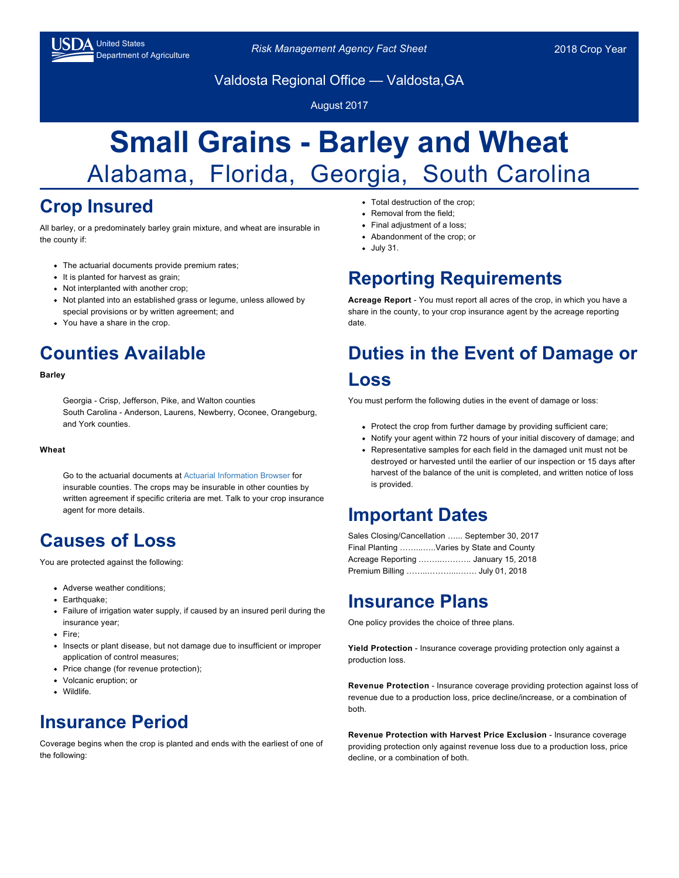

Drifted States<br>Department of Agriculture *Risk Management Agency Fact Sheet* 2018 Crop Year

Valdosta Regional Office — Valdosta,GA

August 2017

# **Small Grains - Barley and Wheat** Alabama, Florida, Georgia, South Carolina

# **Crop Insured**

All barley, or a predominately barley grain mixture, and wheat are insurable in the county if:

- The actuarial documents provide premium rates;
- It is planted for harvest as grain;
- Not interplanted with another crop;
- Not planted into an established grass or legume, unless allowed by special provisions or by written agreement; and
- You have a share in the crop.

# **Counties Available**

#### **Barley**

Georgia - Crisp, Jefferson, Pike, and Walton counties South Carolina - Anderson, Laurens, Newberry, Oconee, Orangeburg, and York counties.

#### **Wheat**

Go to the actuarial documents at [Actuarial Information Browser f](https://webapp.rma.usda.gov/apps/ActuarialInformationBrowser/)or insurable counties. The crops may be insurable in other counties by written agreement if specific criteria are met. Talk to your crop insurance agent for more details.

#### **Causes of Loss**

You are protected against the following:

- Adverse weather conditions;
- Earthquake;
- Failure of irrigation water supply, if caused by an insured peril during the insurance year;
- Fire:
- Insects or plant disease, but not damage due to insufficient or improper application of control measures;
- Price change (for revenue protection);
- Volcanic eruption; or
- Wildlife.

### **Insurance Period**

Coverage begins when the crop is planted and ends with the earliest of one of the following:

- Total destruction of the crop;
- Removal from the field;
- Final adjustment of a loss;
- Abandonment of the crop; or
- July 31.

### **Reporting Requirements**

**Acreage Report** - You must report all acres of the crop, in which you have a share in the county, to your crop insurance agent by the acreage reporting date.

# **Duties in the Event of Damage or Loss**

You must perform the following duties in the event of damage or loss:

- Protect the crop from further damage by providing sufficient care;
- Notify your agent within 72 hours of your initial discovery of damage; and
- Representative samples for each field in the damaged unit must not be destroyed or harvested until the earlier of our inspection or 15 days after harvest of the balance of the unit is completed, and written notice of loss is provided.

#### **Important Dates**

| Sales Closing/Cancellation  September 30, 2017 |                                           |  |  |  |  |
|------------------------------------------------|-------------------------------------------|--|--|--|--|
|                                                | Final Planting Varies by State and County |  |  |  |  |
|                                                | Acreage Reporting  January 15, 2018       |  |  |  |  |
|                                                |                                           |  |  |  |  |

#### **Insurance Plans**

One policy provides the choice of three plans.

**Yield Protection** - Insurance coverage providing protection only against a production loss.

**Revenue Protection** - Insurance coverage providing protection against loss of revenue due to a production loss, price decline/increase, or a combination of both.

**Revenue Protection with Harvest Price Exclusion** - Insurance coverage providing protection only against revenue loss due to a production loss, price decline, or a combination of both.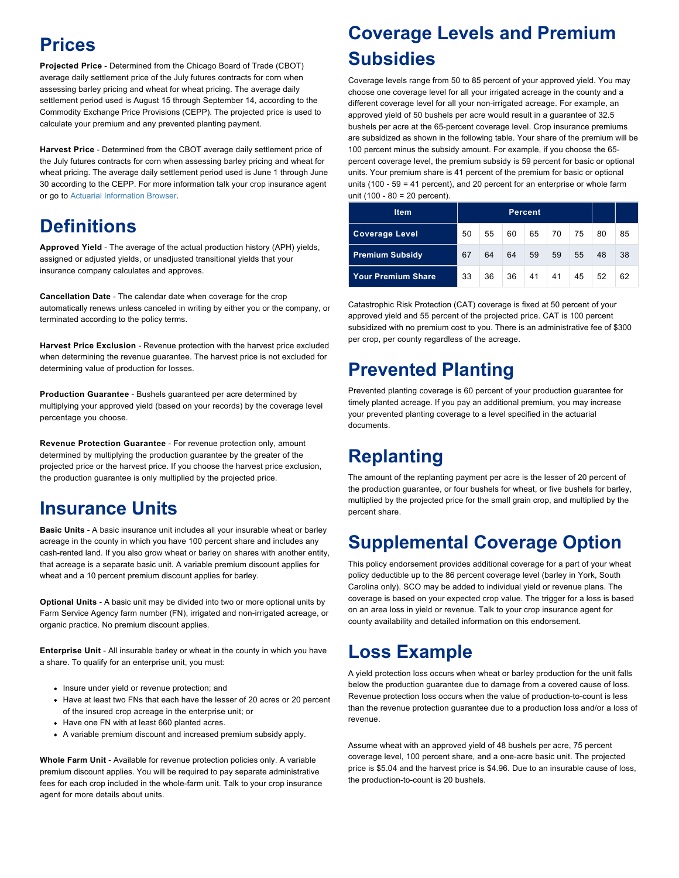### **Prices**

**Projected Price** - Determined from the Chicago Board of Trade (CBOT) average daily settlement price of the July futures contracts for corn when assessing barley pricing and wheat for wheat pricing. The average daily settlement period used is August 15 through September 14, according to the Commodity Exchange Price Provisions (CEPP). The projected price is used to calculate your premium and any prevented planting payment.

**Harvest Price** - Determined from the CBOT average daily settlement price of the July futures contracts for corn when assessing barley pricing and wheat for wheat pricing. The average daily settlement period used is June 1 through June 30 according to the CEPP. For more information talk your crop insurance agent or go to [Actuarial Information Browser](https://webapp.rma.usda.gov/apps/ActuarialInformationBrowser/).

# **Definitions**

**Approved Yield** - The average of the actual production history (APH) yields, assigned or adjusted yields, or unadjusted transitional yields that your insurance company calculates and approves.

**Cancellation Date** - The calendar date when coverage for the crop automatically renews unless canceled in writing by either you or the company, or terminated according to the policy terms.

Harvest Price Exclusion - Revenue protection with the harvest price excluded when determining the revenue guarantee. The harvest price is not excluded for determining value of production for losses.

**Production Guarantee** - Bushels guaranteed per acre determined by multiplying your approved yield (based on your records) by the coverage level percentage you choose.

**Revenue Protection Guarantee** - For revenue protection only, amount determined by multiplying the production guarantee by the greater of the projected price or the harvest price. If you choose the harvest price exclusion, the production guarantee is only multiplied by the projected price.

# **Insurance Units**

**Basic Units** - A basic insurance unit includes all your insurable wheat or barley acreage in the county in which you have 100 percent share and includes any cash-rented land. If you also grow wheat or barley on shares with another entity, that acreage is a separate basic unit. A variable premium discount applies for wheat and a 10 percent premium discount applies for barley.

**Optional Units** - A basic unit may be divided into two or more optional units by Farm Service Agency farm number (FN), irrigated and non-irrigated acreage, or organic practice. No premium discount applies.

**Enterprise Unit** - All insurable barley or wheat in the county in which you have a share. To qualify for an enterprise unit, you must:

- Insure under yield or revenue protection; and
- Have at least two FNs that each have the lesser of 20 acres or 20 percent of the insured crop acreage in the enterprise unit; or
- Have one FN with at least 660 planted acres.
- A variable premium discount and increased premium subsidy apply.

**Whole Farm Unit** - Available for revenue protection policies only. A variable premium discount applies. You will be required to pay separate administrative fees for each crop included in the whole-farm unit. Talk to your crop insurance agent for more details about units.

# **Coverage Levels and Premium Subsidies**

Coverage levels range from 50 to 85 percent of your approved yield. You may choose one coverage level for all your irrigated acreage in the county and a different coverage level for all your non-irrigated acreage. For example, an approved yield of 50 bushels per acre would result in a guarantee of 32.5 bushels per acre at the 65-percent coverage level. Crop insurance premiums are subsidized as shown in the following table. Your share of the premium will be 100 percent minus the subsidy amount. For example, if you choose the 65 percent coverage level, the premium subsidy is 59 percent for basic or optional units. Your premium share is 41 percent of the premium for basic or optional units (100 - 59 = 41 percent), and 20 percent for an enterprise or whole farm unit (100 - 80 = 20 percent).

| <b>Item</b>               | <b>Percent</b> |    |    |    |    |    |    |    |
|---------------------------|----------------|----|----|----|----|----|----|----|
| <b>Coverage Level</b>     | 50             | 55 | 60 | 65 | 70 | 75 | 80 | 85 |
| <b>Premium Subsidy</b>    | 67             | 64 | 64 | 59 | 59 | 55 | 48 | 38 |
| <b>Your Premium Share</b> | 33             | 36 | 36 | 41 | 41 | 45 | 52 | 62 |

Catastrophic Risk Protection (CAT) coverage is fixed at 50 percent of your approved yield and 55 percent of the projected price. CAT is 100 percent subsidized with no premium cost to you. There is an administrative fee of \$300 per crop, per county regardless of the acreage.

# **Prevented Planting**

Prevented planting coverage is 60 percent of your production guarantee for timely planted acreage. If you pay an additional premium, you may increase your prevented planting coverage to a level specified in the actuarial documents.

# **Replanting**

The amount of the replanting payment per acre is the lesser of 20 percent of the production guarantee, or four bushels for wheat, or five bushels for barley, multiplied by the projected price for the small grain crop, and multiplied by the percent share.

# **Supplemental Coverage Option**

This policy endorsement provides additional coverage for a part of your wheat policy deductible up to the 86 percent coverage level (barley in York, South Carolina only). SCO may be added to individual yield or revenue plans. The coverage is based on your expected crop value. The trigger for a loss is based on an area loss in yield or revenue. Talk to your crop insurance agent for county availability and detailed information on this endorsement.

### **Loss Example**

A yield protection loss occurs when wheat or barley production for the unit falls below the production guarantee due to damage from a covered cause of loss. Revenue protection loss occurs when the value of production-to-count is less than the revenue protection guarantee due to a production loss and/or a loss of revenue.

Assume wheat with an approved yield of 48 bushels per acre, 75 percent coverage level, 100 percent share, and a one-acre basic unit. The projected price is \$5.04 and the harvest price is \$4.96. Due to an insurable cause of loss, the production-to-count is 20 bushels.